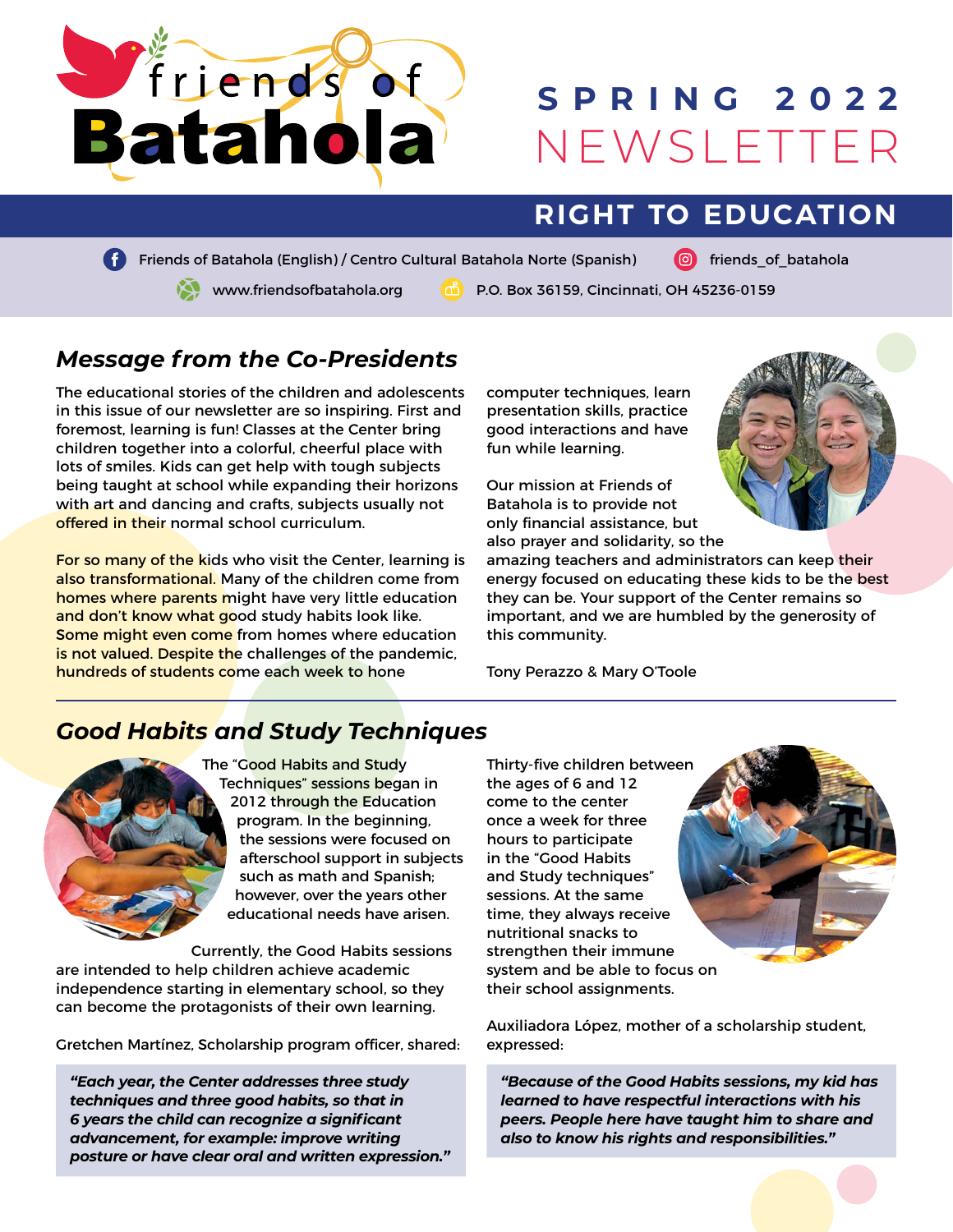

# **SPRING 2022** NEWSLETTER

## **RIGHT TO EDUCATION**

**f** Friends of Batahola (English) / Centro Cultural Batahola Norte (Spanish) **6** friends of batahola

www.friendsofbatahola.org **P.O. Box 36159, Cincinnati, OH 45236-0159** 

#### *Message from the Co-Presidents*

The educational stories of the children and adolescents in this issue of our newsletter are so inspiring. First and foremost, learning is fun! Classes at the Center bring children together into a colorful, cheerful place with lots of smiles. Kids can get help with tough subjects being taught at school while expanding their horizons with art and dancing and crafts, subjects usually not offered in their normal school curriculum.

For so many of the kids who visit the Center, learning is also transformational. Many of the children come from homes where parents might have very little education and don't know what good study habits look like. Some might even come from homes where education is not valued. Despite the challenges of the pandemic, hundreds of students come each week to hone

computer techniques, learn presentation skills, practice good interactions and have fun while learning.

Our mission at Friends of Batahola is to provide not only financial assistance, but also prayer and solidarity, so the



amazing teachers and administrators can keep their energy focused on educating these kids to be the best they can be. Your support of the Center remains so important, and we are humbled by the generosity of this community.

Tony Perazzo & Mary O'Toole

#### *Good Habits and Study Techniques*



The "Good Habits and Study Techniques" sessions began in 2012 through the Education program. In the beginning, the sessions were focused on afterschool support in subjects such as math and Spanish; however, over the years other educational needs have arisen.

Currently, the Good Habits sessions are intended to help children achieve academic independence starting in elementary school, so they can become the protagonists of their own learning.

Gretchen Martínez, Scholarship program officer, shared:

*"Each year, the Center addresses three study techniques and three good habits, so that in 6 years the child can recognize a significant advancement, for example: improve writing posture or have clear oral and written expression."* Thirty-five children between the ages of 6 and 12 come to the center once a week for three hours to participate in the "Good Habits and Study techniques" sessions. At the same time, they always receive nutritional snacks to strengthen their immune system and be able to focus on their school assignments.

Auxiliadora López, mother of a scholarship student, expressed:

*"Because of the Good Habits sessions, my kid has learned to have respectful interactions with his peers. People here have taught him to share and also to know his rights and responsibilities."*